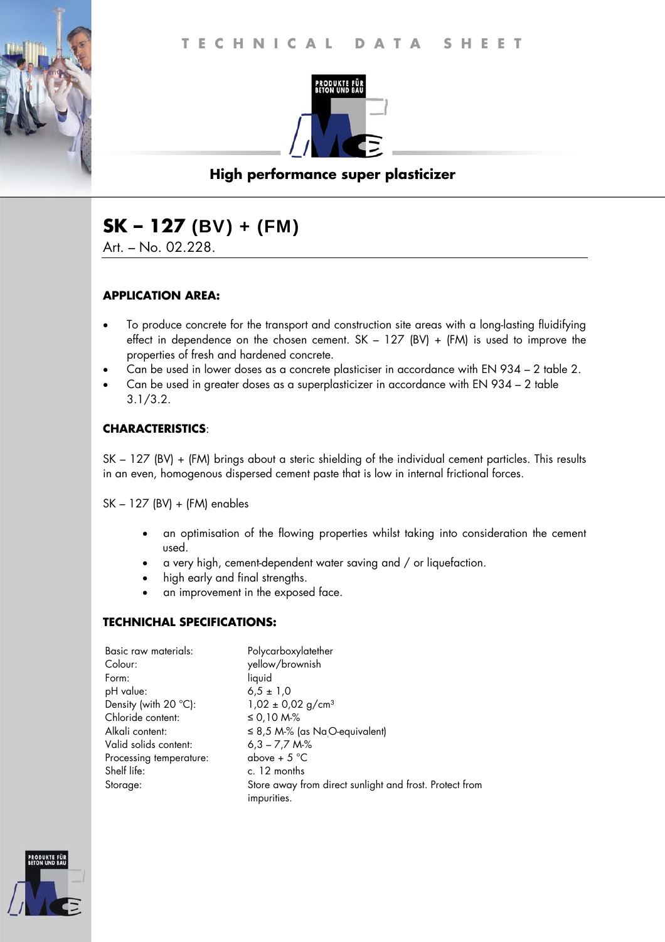

# **High performance super plasticizer**

# **SK – 127** (BV) + (FM)

Art. – No. 02.228.

## **APPLICATION AREA:**

- To produce concrete for the transport and construction site areas with a long-lasting fluidifying effect in dependence on the chosen cement.  $SK - 127$  (BV) + (FM) is used to improve the properties of fresh and hardened concrete.
- Can be used in lower doses as a concrete plasticiser in accordance with EN 934 2 table 2.
- Can be used in greater doses as a superplasticizer in accordance with EN 934 2 table 3.1/3.2.

#### **CHARACTERISTICS**:

SK – 127 (BV) + (FM) brings about a steric shielding of the individual cement particles. This results in an even, homogenous dispersed cement paste that is low in internal frictional forces.

SK – 127 (BV) + (FM) enables

- an optimisation of the flowing properties whilst taking into consideration the cement used.
- a very high, cement-dependent water saving and / or liquefaction.
- high early and final strengths.
- an improvement in the exposed face.

## **TECHNICHAL SPECIFICATIONS:**

| Basic raw materials:            | Polycarboxylatether                                                    |
|---------------------------------|------------------------------------------------------------------------|
| Colour:                         | yellow/brownish                                                        |
| Form:                           | liquid                                                                 |
| pH value:                       | $6.5 \pm 1.0$                                                          |
| Density (with 20 $^{\circ}$ C): | $1,02 \pm 0,02$ g/cm <sup>3</sup>                                      |
| Chloride content:               | ≤ 0,10 M-%                                                             |
| Alkali content:                 | $\leq$ 8,5 M-% (as NaO-equivalent)                                     |
| Valid solids content:           | $6,3 - 7,7$ M-%                                                        |
| Processing temperature:         | above + $5^{\circ}$ C                                                  |
| Shelf life:                     | c. 12 months                                                           |
| Storage:                        | Store away from direct sunlight and frost. Protect from<br>impurities. |